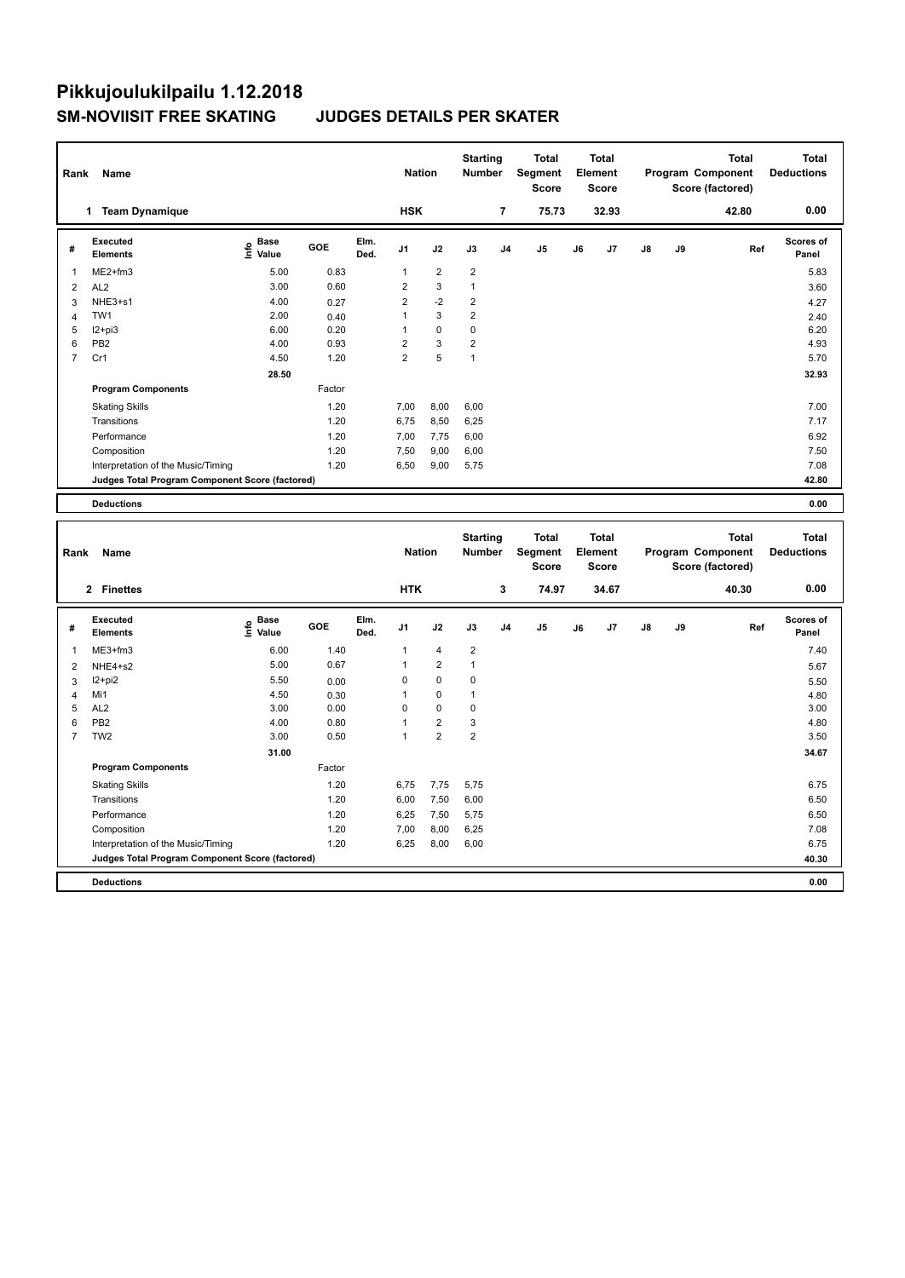| Rank           | Name                                            |                                  |        |              | <b>Nation</b>  |                | <b>Starting</b><br><b>Number</b> |                | <b>Total</b><br>Segment<br><b>Score</b> |    | <b>Total</b><br>Element<br><b>Score</b> |               |    | <b>Total</b><br>Program Component<br>Score (factored) | <b>Total</b><br><b>Deductions</b> |
|----------------|-------------------------------------------------|----------------------------------|--------|--------------|----------------|----------------|----------------------------------|----------------|-----------------------------------------|----|-----------------------------------------|---------------|----|-------------------------------------------------------|-----------------------------------|
|                | <b>Team Dynamique</b><br>1                      |                                  |        |              | <b>HSK</b>     |                |                                  | 7              | 75.73                                   |    | 32.93                                   |               |    | 42.80                                                 | 0.00                              |
| #              | Executed<br><b>Elements</b>                     | <b>Base</b><br>e Base<br>⊆ Value | GOE    | Elm.<br>Ded. | J <sub>1</sub> | J2             | J3                               | J <sub>4</sub> | J <sub>5</sub>                          | J6 | J7                                      | $\mathsf{J}8$ | J9 | Ref                                                   | <b>Scores of</b><br>Panel         |
| -1             | ME2+fm3                                         | 5.00                             | 0.83   |              | 1              | $\overline{2}$ | $\overline{2}$                   |                |                                         |    |                                         |               |    |                                                       | 5.83                              |
| 2              | AL <sub>2</sub>                                 | 3.00                             | 0.60   |              | $\overline{2}$ | 3              | $\overline{1}$                   |                |                                         |    |                                         |               |    |                                                       | 3.60                              |
| 3              | NHE3+s1                                         | 4.00                             | 0.27   |              | $\overline{2}$ | $-2$           | $\overline{\mathbf{c}}$          |                |                                         |    |                                         |               |    |                                                       | 4.27                              |
| 4              | TW1                                             | 2.00                             | 0.40   |              | 1              | 3              | $\overline{2}$                   |                |                                         |    |                                         |               |    |                                                       | 2.40                              |
| 5              | $12+pi3$                                        | 6.00                             | 0.20   |              |                | $\mathbf 0$    | 0                                |                |                                         |    |                                         |               |    |                                                       | 6.20                              |
| 6              | PB <sub>2</sub>                                 | 4.00                             | 0.93   |              | $\overline{2}$ | 3              | $\overline{2}$                   |                |                                         |    |                                         |               |    |                                                       | 4.93                              |
| $\overline{7}$ | Cr1                                             | 4.50                             | 1.20   |              | $\overline{2}$ | 5              | $\overline{1}$                   |                |                                         |    |                                         |               |    |                                                       | 5.70                              |
|                |                                                 | 28.50                            |        |              |                |                |                                  |                |                                         |    |                                         |               |    |                                                       | 32.93                             |
|                | <b>Program Components</b>                       |                                  | Factor |              |                |                |                                  |                |                                         |    |                                         |               |    |                                                       |                                   |
|                | <b>Skating Skills</b>                           |                                  | 1.20   |              | 7,00           | 8,00           | 6,00                             |                |                                         |    |                                         |               |    |                                                       | 7.00                              |
|                | Transitions                                     |                                  | 1.20   |              | 6,75           | 8,50           | 6,25                             |                |                                         |    |                                         |               |    |                                                       | 7.17                              |
|                | Performance                                     |                                  | 1.20   |              | 7,00           | 7,75           | 6,00                             |                |                                         |    |                                         |               |    |                                                       | 6.92                              |
|                | Composition                                     |                                  | 1.20   |              | 7,50           | 9,00           | 6,00                             |                |                                         |    |                                         |               |    |                                                       | 7.50                              |
|                | Interpretation of the Music/Timing              |                                  | 1.20   |              | 6,50           | 9,00           | 5.75                             |                |                                         |    |                                         |               |    |                                                       | 7.08                              |
|                | Judges Total Program Component Score (factored) |                                  |        |              |                |                |                                  |                |                                         |    |                                         |               |    |                                                       | 42.80                             |
|                | <b>Deductions</b>                               |                                  |        |              |                |                |                                  |                |                                         |    |                                         |               |    |                                                       | 0.00                              |

|                         | Rank<br>Name                                    |                                                          |        |              |                | <b>Nation</b>  |                | <b>Starting</b><br><b>Number</b> | <b>Total</b><br>Segment<br><b>Score</b> | <b>Total</b><br>Element<br><b>Score</b> |       | <b>Total</b><br>Program Component<br>Score (factored) |    |       | <b>Total</b><br><b>Deductions</b> |
|-------------------------|-------------------------------------------------|----------------------------------------------------------|--------|--------------|----------------|----------------|----------------|----------------------------------|-----------------------------------------|-----------------------------------------|-------|-------------------------------------------------------|----|-------|-----------------------------------|
|                         | 2 Finettes                                      |                                                          |        |              | <b>HTK</b>     |                |                | 3                                | 74.97                                   |                                         | 34.67 |                                                       |    | 40.30 | 0.00                              |
| #                       | Executed<br><b>Elements</b>                     | <b>Base</b><br>$\mathop{\mathsf{Inf}}\nolimits$<br>Value | GOE    | Elm.<br>Ded. | J <sub>1</sub> | J2             | J3             | J <sub>4</sub>                   | J <sub>5</sub>                          | J6                                      | J7    | $\mathsf{J}8$                                         | J9 | Ref   | Scores of<br>Panel                |
| $\overline{\mathbf{1}}$ | $ME3+fm3$                                       | 6.00                                                     | 1.40   |              | 1              | 4              | $\overline{2}$ |                                  |                                         |                                         |       |                                                       |    |       | 7.40                              |
| $\overline{2}$          | NHE4+s2                                         | 5.00                                                     | 0.67   |              | $\mathbf{1}$   | $\overline{2}$ | $\mathbf{1}$   |                                  |                                         |                                         |       |                                                       |    |       | 5.67                              |
| 3                       | $12+pi2$                                        | 5.50                                                     | 0.00   |              | 0              | $\mathbf 0$    | 0              |                                  |                                         |                                         |       |                                                       |    |       | 5.50                              |
| $\overline{4}$          | Mi1                                             | 4.50                                                     | 0.30   |              | 1              | $\mathbf 0$    | $\mathbf{1}$   |                                  |                                         |                                         |       |                                                       |    |       | 4.80                              |
| 5                       | AL <sub>2</sub>                                 | 3.00                                                     | 0.00   |              | 0              | $\mathbf 0$    | 0              |                                  |                                         |                                         |       |                                                       |    |       | 3.00                              |
| 6                       | PB <sub>2</sub>                                 | 4.00                                                     | 0.80   |              | 1              | $\overline{2}$ | 3              |                                  |                                         |                                         |       |                                                       |    |       | 4.80                              |
| 7                       | TW <sub>2</sub>                                 | 3.00                                                     | 0.50   |              | 1              | $\overline{2}$ | $\overline{2}$ |                                  |                                         |                                         |       |                                                       |    |       | 3.50                              |
|                         |                                                 | 31.00                                                    |        |              |                |                |                |                                  |                                         |                                         |       |                                                       |    |       | 34.67                             |
|                         | <b>Program Components</b>                       |                                                          | Factor |              |                |                |                |                                  |                                         |                                         |       |                                                       |    |       |                                   |
|                         | <b>Skating Skills</b>                           |                                                          | 1.20   |              | 6,75           | 7,75           | 5,75           |                                  |                                         |                                         |       |                                                       |    |       | 6.75                              |
|                         | Transitions                                     |                                                          | 1.20   |              | 6,00           | 7,50           | 6,00           |                                  |                                         |                                         |       |                                                       |    |       | 6.50                              |
|                         | Performance                                     |                                                          | 1.20   |              | 6,25           | 7,50           | 5,75           |                                  |                                         |                                         |       |                                                       |    |       | 6.50                              |
|                         | Composition                                     |                                                          | 1.20   |              | 7,00           | 8,00           | 6,25           |                                  |                                         |                                         |       |                                                       |    |       | 7.08                              |
|                         | Interpretation of the Music/Timing              |                                                          | 1.20   |              | 6,25           | 8,00           | 6,00           |                                  |                                         |                                         |       |                                                       |    |       | 6.75                              |
|                         | Judges Total Program Component Score (factored) |                                                          |        |              |                |                |                |                                  |                                         |                                         |       |                                                       |    |       | 40.30                             |
|                         | <b>Deductions</b>                               |                                                          |        |              |                |                |                |                                  |                                         |                                         |       |                                                       |    |       | 0.00                              |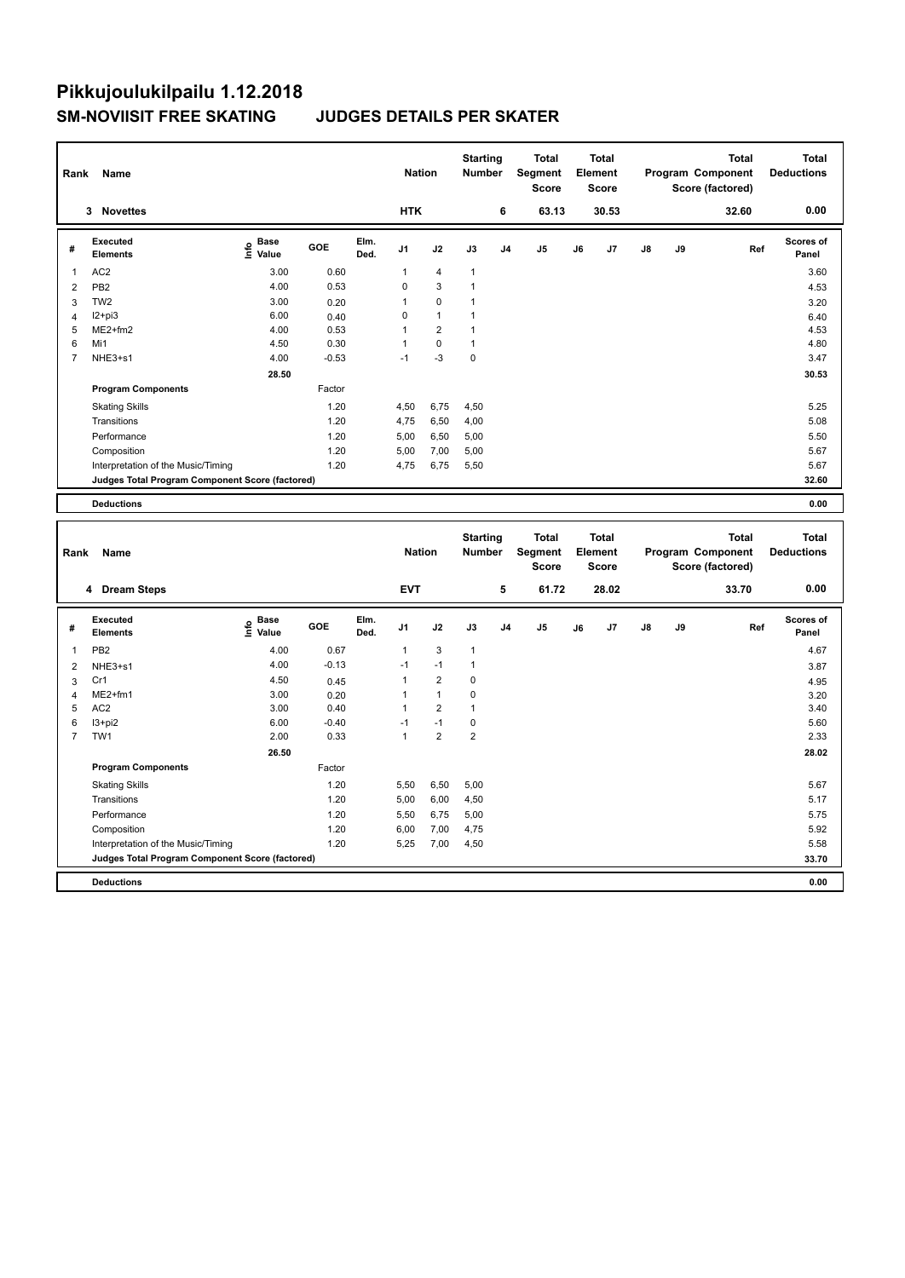| Rank           | Name                                            |                           |         |              |                | <b>Nation</b>  |              | <b>Starting</b><br><b>Number</b> | <b>Total</b><br>Segment<br><b>Score</b> |    | <b>Total</b><br>Element<br><b>Score</b> |               |    | <b>Total</b><br>Program Component<br>Score (factored) | <b>Total</b><br><b>Deductions</b> |
|----------------|-------------------------------------------------|---------------------------|---------|--------------|----------------|----------------|--------------|----------------------------------|-----------------------------------------|----|-----------------------------------------|---------------|----|-------------------------------------------------------|-----------------------------------|
|                | 3 Novettes                                      |                           |         |              | <b>HTK</b>     |                |              | 6                                | 63.13                                   |    | 30.53                                   |               |    | 32.60                                                 | 0.00                              |
| #              | Executed<br><b>Elements</b>                     | <b>Base</b><br>e<br>Value | GOE     | Elm.<br>Ded. | J <sub>1</sub> | J2             | J3           | J <sub>4</sub>                   | J <sub>5</sub>                          | J6 | J7                                      | $\mathsf{J}8$ | J9 | Ref                                                   | Scores of<br>Panel                |
| 1              | AC <sub>2</sub>                                 | 3.00                      | 0.60    |              | 1              | $\overline{4}$ | $\mathbf{1}$ |                                  |                                         |    |                                         |               |    |                                                       | 3.60                              |
| 2              | PB <sub>2</sub>                                 | 4.00                      | 0.53    |              | 0              | 3              | 1            |                                  |                                         |    |                                         |               |    |                                                       | 4.53                              |
| 3              | TW <sub>2</sub>                                 | 3.00                      | 0.20    |              | 1              | $\pmb{0}$      |              |                                  |                                         |    |                                         |               |    |                                                       | 3.20                              |
| 4              | $12 + pi3$                                      | 6.00                      | 0.40    |              | 0              | $\mathbf{1}$   | 1            |                                  |                                         |    |                                         |               |    |                                                       | 6.40                              |
| 5              | $ME2+fm2$                                       | 4.00                      | 0.53    |              | 1              | $\overline{2}$ | 1            |                                  |                                         |    |                                         |               |    |                                                       | 4.53                              |
| 6              | Mi1                                             | 4.50                      | 0.30    |              | $\mathbf 1$    | $\mathbf 0$    | 1            |                                  |                                         |    |                                         |               |    |                                                       | 4.80                              |
| $\overline{7}$ | NHE3+s1                                         | 4.00                      | $-0.53$ |              | $-1$           | $-3$           | $\mathbf 0$  |                                  |                                         |    |                                         |               |    |                                                       | 3.47                              |
|                |                                                 | 28.50                     |         |              |                |                |              |                                  |                                         |    |                                         |               |    |                                                       | 30.53                             |
|                | <b>Program Components</b>                       |                           | Factor  |              |                |                |              |                                  |                                         |    |                                         |               |    |                                                       |                                   |
|                | <b>Skating Skills</b>                           |                           | 1.20    |              | 4,50           | 6,75           | 4,50         |                                  |                                         |    |                                         |               |    |                                                       | 5.25                              |
|                | Transitions                                     |                           | 1.20    |              | 4,75           | 6,50           | 4,00         |                                  |                                         |    |                                         |               |    |                                                       | 5.08                              |
|                | Performance                                     |                           | 1.20    |              | 5,00           | 6,50           | 5,00         |                                  |                                         |    |                                         |               |    |                                                       | 5.50                              |
|                | Composition                                     |                           | 1.20    |              | 5.00           | 7,00           | 5,00         |                                  |                                         |    |                                         |               |    |                                                       | 5.67                              |
|                | Interpretation of the Music/Timing              |                           | 1.20    |              | 4,75           | 6,75           | 5,50         |                                  |                                         |    |                                         |               |    |                                                       | 5.67                              |
|                | Judges Total Program Component Score (factored) |                           |         |              |                |                |              |                                  |                                         |    |                                         |               |    |                                                       | 32.60                             |
|                | <b>Deductions</b>                               |                           |         |              |                |                |              |                                  |                                         |    |                                         |               |    |                                                       | 0.00                              |
|                |                                                 |                           |         |              |                |                |              |                                  |                                         |    |                                         |               |    |                                                       |                                   |

| Rank           | Name                                            |                                    |            |              | <b>Nation</b>  |                | <b>Starting</b><br><b>Number</b> |                | <b>Total</b><br>Segment<br>Score |    | Total<br>Element<br><b>Score</b> |               |    | Total<br>Program Component<br>Score (factored) | <b>Total</b><br><b>Deductions</b> |
|----------------|-------------------------------------------------|------------------------------------|------------|--------------|----------------|----------------|----------------------------------|----------------|----------------------------------|----|----------------------------------|---------------|----|------------------------------------------------|-----------------------------------|
|                | <b>Dream Steps</b><br>4                         |                                    |            |              | <b>EVT</b>     |                |                                  | 5              | 61.72                            |    | 28.02                            |               |    | 33.70                                          | 0.00                              |
| #              | Executed<br><b>Elements</b>                     | <b>Base</b><br>$\frac{6}{5}$ Value | <b>GOE</b> | Elm.<br>Ded. | J <sub>1</sub> | J2             | J3                               | J <sub>4</sub> | J <sub>5</sub>                   | J6 | J7                               | $\mathsf{J}8$ | J9 | Ref                                            | Scores of<br>Panel                |
|                | PB <sub>2</sub>                                 | 4.00                               | 0.67       |              | $\mathbf{1}$   | 3              | $\mathbf{1}$                     |                |                                  |    |                                  |               |    |                                                | 4.67                              |
| 2              | NHE3+s1                                         | 4.00                               | $-0.13$    |              | $-1$           | $-1$           | 1                                |                |                                  |    |                                  |               |    |                                                | 3.87                              |
| 3              | Cr1                                             | 4.50                               | 0.45       |              | 1              | $\overline{2}$ | 0                                |                |                                  |    |                                  |               |    |                                                | 4.95                              |
| 4              | $ME2+fm1$                                       | 3.00                               | 0.20       |              |                | $\overline{1}$ | 0                                |                |                                  |    |                                  |               |    |                                                | 3.20                              |
| 5              | AC <sub>2</sub>                                 | 3.00                               | 0.40       |              | 1              | $\overline{2}$ | 1                                |                |                                  |    |                                  |               |    |                                                | 3.40                              |
| 6              | $13 + pi2$                                      | 6.00                               | $-0.40$    |              | $-1$           | $-1$           | 0                                |                |                                  |    |                                  |               |    |                                                | 5.60                              |
| $\overline{7}$ | TW1                                             | 2.00                               | 0.33       |              | 1              | $\overline{2}$ | $\overline{\mathbf{c}}$          |                |                                  |    |                                  |               |    |                                                | 2.33                              |
|                |                                                 | 26.50                              |            |              |                |                |                                  |                |                                  |    |                                  |               |    |                                                | 28.02                             |
|                | <b>Program Components</b>                       |                                    | Factor     |              |                |                |                                  |                |                                  |    |                                  |               |    |                                                |                                   |
|                | <b>Skating Skills</b>                           |                                    | 1.20       |              | 5,50           | 6,50           | 5,00                             |                |                                  |    |                                  |               |    |                                                | 5.67                              |
|                | Transitions                                     |                                    | 1.20       |              | 5,00           | 6,00           | 4,50                             |                |                                  |    |                                  |               |    |                                                | 5.17                              |
|                | Performance                                     |                                    | 1.20       |              | 5,50           | 6,75           | 5,00                             |                |                                  |    |                                  |               |    |                                                | 5.75                              |
|                | Composition                                     |                                    | 1.20       |              | 6,00           | 7,00           | 4,75                             |                |                                  |    |                                  |               |    |                                                | 5.92                              |
|                | Interpretation of the Music/Timing              |                                    | 1.20       |              | 5,25           | 7,00           | 4,50                             |                |                                  |    |                                  |               |    |                                                | 5.58                              |
|                | Judges Total Program Component Score (factored) |                                    |            |              |                |                |                                  |                |                                  |    |                                  |               |    |                                                | 33.70                             |
|                | <b>Deductions</b>                               |                                    |            |              |                |                |                                  |                |                                  |    |                                  |               |    |                                                | 0.00                              |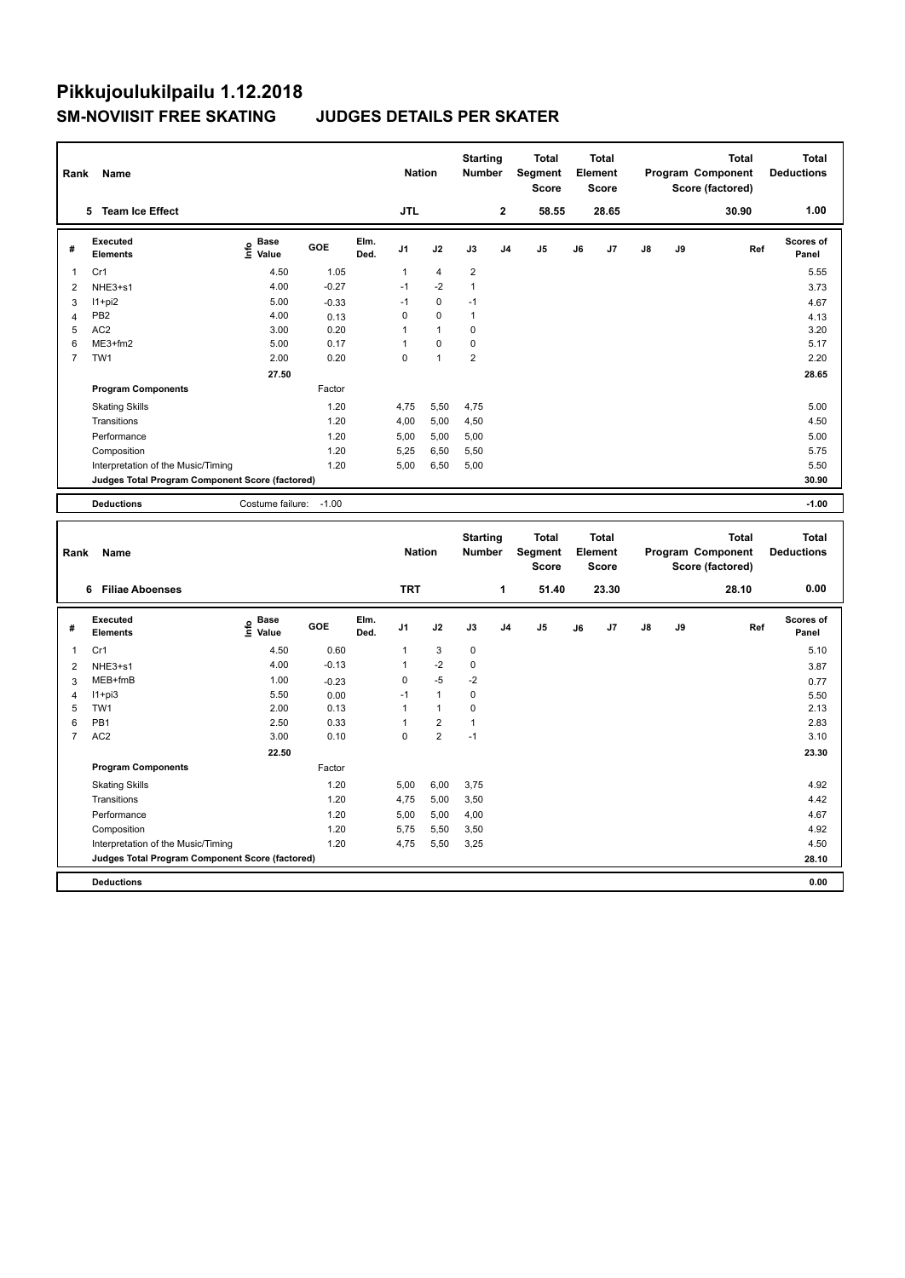| Rank           | Name                                            |                                  |         |              | <b>Nation</b>  |                | <b>Starting</b><br><b>Number</b> |                | <b>Total</b><br>Segment<br><b>Score</b> |    | <b>Total</b><br>Element<br>Score |               |    | <b>Total</b><br>Program Component<br>Score (factored) | <b>Total</b><br><b>Deductions</b> |
|----------------|-------------------------------------------------|----------------------------------|---------|--------------|----------------|----------------|----------------------------------|----------------|-----------------------------------------|----|----------------------------------|---------------|----|-------------------------------------------------------|-----------------------------------|
|                | <b>Team Ice Effect</b><br>5.                    |                                  |         |              | <b>JTL</b>     |                |                                  | $\overline{2}$ | 58.55                                   |    | 28.65                            |               |    | 30.90                                                 | 1.00                              |
| #              | Executed<br><b>Elements</b>                     | <b>Base</b><br>e Base<br>⊆ Value | GOE     | Elm.<br>Ded. | J <sub>1</sub> | J2             | J3                               | J <sub>4</sub> | J5                                      | J6 | J7                               | $\mathsf{J}8$ | J9 | Ref                                                   | <b>Scores of</b><br>Panel         |
| 1              | Cr1                                             | 4.50                             | 1.05    |              | $\mathbf{1}$   | $\overline{4}$ | $\overline{2}$                   |                |                                         |    |                                  |               |    |                                                       | 5.55                              |
| 2              | NHE3+s1                                         | 4.00                             | $-0.27$ |              | $-1$           | $-2$           | 1                                |                |                                         |    |                                  |               |    |                                                       | 3.73                              |
| 3              | $11+pi2$                                        | 5.00                             | $-0.33$ |              | $-1$           | 0              | $-1$                             |                |                                         |    |                                  |               |    |                                                       | 4.67                              |
| 4              | PB <sub>2</sub>                                 | 4.00                             | 0.13    |              | 0              | $\Omega$       | $\mathbf{1}$                     |                |                                         |    |                                  |               |    |                                                       | 4.13                              |
| 5              | AC <sub>2</sub>                                 | 3.00                             | 0.20    |              |                | $\mathbf{1}$   | 0                                |                |                                         |    |                                  |               |    |                                                       | 3.20                              |
| 6              | ME3+fm2                                         | 5.00                             | 0.17    |              |                | $\pmb{0}$      | 0                                |                |                                         |    |                                  |               |    |                                                       | 5.17                              |
| $\overline{7}$ | TW <sub>1</sub>                                 | 2.00                             | 0.20    |              | 0              | $\overline{1}$ | $\overline{2}$                   |                |                                         |    |                                  |               |    |                                                       | 2.20                              |
|                |                                                 | 27.50                            |         |              |                |                |                                  |                |                                         |    |                                  |               |    |                                                       | 28.65                             |
|                | <b>Program Components</b>                       |                                  | Factor  |              |                |                |                                  |                |                                         |    |                                  |               |    |                                                       |                                   |
|                | <b>Skating Skills</b>                           |                                  | 1.20    |              | 4,75           | 5,50           | 4,75                             |                |                                         |    |                                  |               |    |                                                       | 5.00                              |
|                | Transitions                                     |                                  | 1.20    |              | 4,00           | 5,00           | 4,50                             |                |                                         |    |                                  |               |    |                                                       | 4.50                              |
|                | Performance                                     |                                  | 1.20    |              | 5,00           | 5,00           | 5,00                             |                |                                         |    |                                  |               |    |                                                       | 5.00                              |
|                | Composition                                     |                                  | 1.20    |              | 5,25           | 6,50           | 5,50                             |                |                                         |    |                                  |               |    |                                                       | 5.75                              |
|                | Interpretation of the Music/Timing              |                                  | 1.20    |              | 5,00           | 6,50           | 5,00                             |                |                                         |    |                                  |               |    |                                                       | 5.50                              |
|                | Judges Total Program Component Score (factored) |                                  |         |              |                |                |                                  |                |                                         |    |                                  |               |    |                                                       | 30.90                             |
|                | <b>Deductions</b>                               | Costume failure:                 | $-1.00$ |              |                |                |                                  |                |                                         |    |                                  |               |    |                                                       | $-1.00$                           |
|                |                                                 |                                  |         |              |                |                |                                  |                |                                         |    |                                  |               |    |                                                       |                                   |
|                |                                                 |                                  |         |              |                |                | Starting                         |                | Total                                   |    | Total                            |               |    | Total                                                 | Total                             |

| Rank           | Name                                            |                                    |            |              | <b>Nation</b>  |                      | <b>Starting</b><br><b>Number</b> |                | Total<br>Segment<br><b>Score</b> |    | <b>Total</b><br>Element<br><b>Score</b> |               |    | Total<br>Program Component<br>Score (factored) | <b>Total</b><br><b>Deductions</b> |
|----------------|-------------------------------------------------|------------------------------------|------------|--------------|----------------|----------------------|----------------------------------|----------------|----------------------------------|----|-----------------------------------------|---------------|----|------------------------------------------------|-----------------------------------|
|                | <b>Filiae Aboenses</b><br>6                     |                                    |            |              | <b>TRT</b>     |                      |                                  | 1              | 51.40                            |    | 23.30                                   |               |    | 28.10                                          | 0.00                              |
| #              | Executed<br><b>Elements</b>                     | <b>Base</b><br>$\frac{6}{5}$ Value | <b>GOE</b> | Elm.<br>Ded. | J <sub>1</sub> | J2                   | J3                               | J <sub>4</sub> | J <sub>5</sub>                   | J6 | J7                                      | $\mathsf{J}8$ | J9 | Ref                                            | <b>Scores of</b><br>Panel         |
| 1              | Cr1                                             | 4.50                               | 0.60       |              | 1              | 3                    | 0                                |                |                                  |    |                                         |               |    |                                                | 5.10                              |
| 2              | NHE3+s1                                         | 4.00                               | $-0.13$    |              | 1              | $-2$                 | 0                                |                |                                  |    |                                         |               |    |                                                | 3.87                              |
| 3              | MEB+fmB                                         | 1.00                               | $-0.23$    |              | 0              | $-5$                 | $-2$                             |                |                                  |    |                                         |               |    |                                                | 0.77                              |
| 4              | $11 + pi3$                                      | 5.50                               | 0.00       |              | $-1$           | $\mathbf{1}$         | 0                                |                |                                  |    |                                         |               |    |                                                | 5.50                              |
| 5              | TW1                                             | 2.00                               | 0.13       |              | 1              | $\blacktriangleleft$ | 0                                |                |                                  |    |                                         |               |    |                                                | 2.13                              |
| 6              | PB <sub>1</sub>                                 | 2.50                               | 0.33       |              |                | $\overline{2}$       | 1                                |                |                                  |    |                                         |               |    |                                                | 2.83                              |
| $\overline{7}$ | AC <sub>2</sub>                                 | 3.00                               | 0.10       |              | 0              | $\overline{2}$       | $-1$                             |                |                                  |    |                                         |               |    |                                                | 3.10                              |
|                |                                                 | 22.50                              |            |              |                |                      |                                  |                |                                  |    |                                         |               |    |                                                | 23.30                             |
|                | <b>Program Components</b>                       |                                    | Factor     |              |                |                      |                                  |                |                                  |    |                                         |               |    |                                                |                                   |
|                | <b>Skating Skills</b>                           |                                    | 1.20       |              | 5,00           | 6,00                 | 3,75                             |                |                                  |    |                                         |               |    |                                                | 4.92                              |
|                | Transitions                                     |                                    | 1.20       |              | 4,75           | 5,00                 | 3,50                             |                |                                  |    |                                         |               |    |                                                | 4.42                              |
|                | Performance                                     |                                    | 1.20       |              | 5,00           | 5,00                 | 4,00                             |                |                                  |    |                                         |               |    |                                                | 4.67                              |
|                | Composition                                     |                                    | 1.20       |              | 5,75           | 5,50                 | 3,50                             |                |                                  |    |                                         |               |    |                                                | 4.92                              |
|                | Interpretation of the Music/Timing              |                                    | 1.20       |              | 4,75           | 5,50                 | 3,25                             |                |                                  |    |                                         |               |    |                                                | 4.50                              |
|                | Judges Total Program Component Score (factored) |                                    |            |              |                |                      |                                  |                |                                  |    |                                         |               |    |                                                | 28.10                             |
|                | <b>Deductions</b>                               |                                    |            |              |                |                      |                                  |                |                                  |    |                                         |               |    |                                                | 0.00                              |